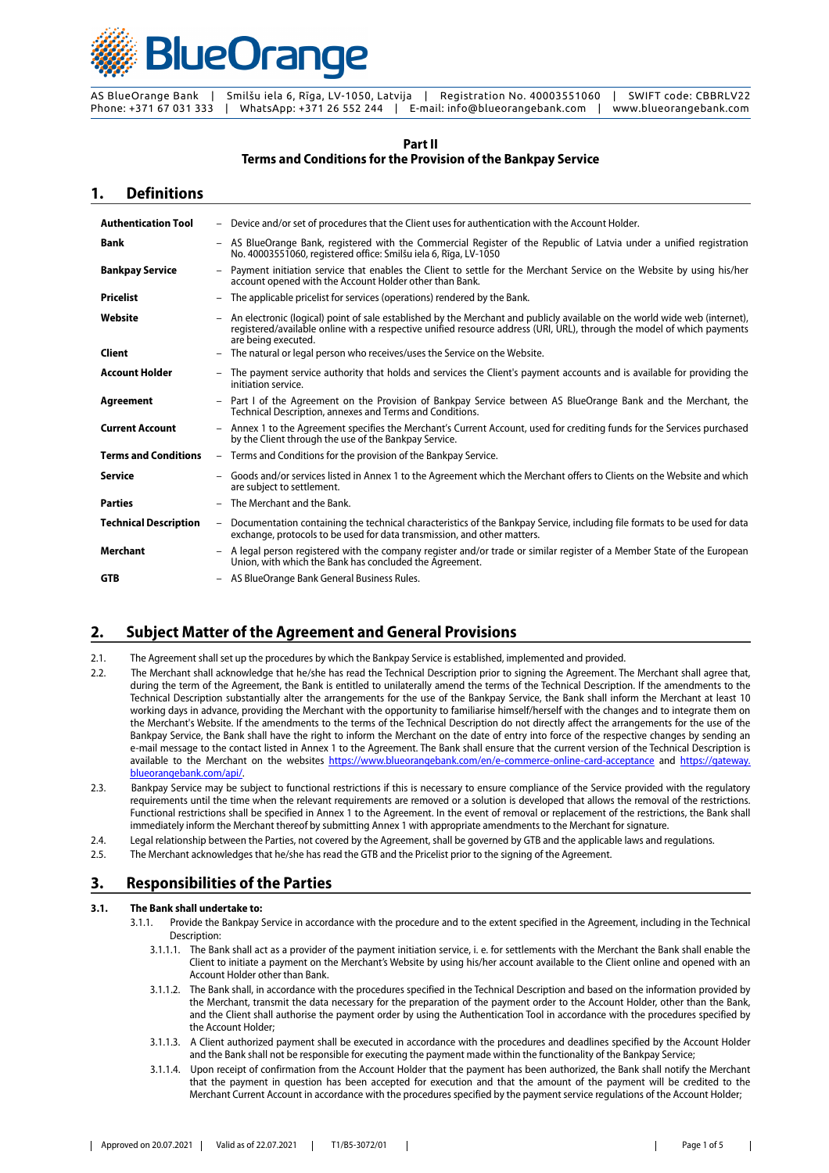

#### **Part II Terms and Conditions for the Provision of the Bankpay Service**

### **1. Definitions**

| <b>Authentication Tool</b>   |                          | - Device and/or set of procedures that the Client uses for authentication with the Account Holder.                                                                                                                                                                          |
|------------------------------|--------------------------|-----------------------------------------------------------------------------------------------------------------------------------------------------------------------------------------------------------------------------------------------------------------------------|
| Bank                         |                          | - AS BlueOrange Bank, registered with the Commercial Register of the Republic of Latvia under a unified registration<br>No. 40003551060, registered office: Smilšu iela 6, Rīga, LV-1050                                                                                    |
| <b>Bankpay Service</b>       | $\overline{\phantom{a}}$ | Payment initiation service that enables the Client to settle for the Merchant Service on the Website by using his/her<br>account opened with the Account Holder other than Bank.                                                                                            |
| <b>Pricelist</b>             | $-$                      | The applicable pricelist for services (operations) rendered by the Bank.                                                                                                                                                                                                    |
| Website                      |                          | An electronic (logical) point of sale established by the Merchant and publicly available on the world wide web (internet),<br>registered/available online with a respective unified resource address (URI, URL), through the model of which payments<br>are being executed. |
| Client                       | $\qquad \qquad -$        | The natural or legal person who receives/uses the Service on the Website.                                                                                                                                                                                                   |
| <b>Account Holder</b>        |                          | - The payment service authority that holds and services the Client's payment accounts and is available for providing the<br>initiation service.                                                                                                                             |
| Agreement                    | $\overline{\phantom{a}}$ | Part I of the Agreement on the Provision of Bankpay Service between AS BlueOrange Bank and the Merchant, the<br>Technical Description, annexes and Terms and Conditions.                                                                                                    |
| <b>Current Account</b>       | $\overline{\phantom{0}}$ | Annex 1 to the Agreement specifies the Merchant's Current Account, used for crediting funds for the Services purchased<br>by the Client through the use of the Bankpay Service.                                                                                             |
| <b>Terms and Conditions</b>  |                          | - Terms and Conditions for the provision of the Bankpay Service.                                                                                                                                                                                                            |
| <b>Service</b>               | $\overline{\phantom{0}}$ | Goods and/or services listed in Annex 1 to the Agreement which the Merchant offers to Clients on the Website and which<br>are subject to settlement.                                                                                                                        |
| <b>Parties</b>               | $\overline{\phantom{0}}$ | The Merchant and the Bank.                                                                                                                                                                                                                                                  |
| <b>Technical Description</b> | $-$                      | Documentation containing the technical characteristics of the Bankpay Service, including file formats to be used for data<br>exchange, protocols to be used for data transmission, and other matters.                                                                       |
| Merchant                     |                          | A legal person registered with the company register and/or trade or similar register of a Member State of the European<br>Union, with which the Bank has concluded the Agreement.                                                                                           |
| <b>GTB</b>                   |                          | - AS BlueOrange Bank General Business Rules.                                                                                                                                                                                                                                |

# **2. Subject Matter of the Agreement and General Provisions**

2.1. The Agreement shall set up the procedures by which the Bankpay Service is established, implemented and provided.

- 2.2. The Merchant shall acknowledge that he/she has read the Technical Description prior to signing the Agreement. The Merchant shall agree that, during the term of the Agreement, the Bank is entitled to unilaterally amend the terms of the Technical Description. If the amendments to the Technical Description substantially alter the arrangements for the use of the Bankpay Service, the Bank shall inform the Merchant at least 10 working days in advance, providing the Merchant with the opportunity to familiarise himself/herself with the changes and to integrate them on the Merchant's Website. If the amendments to the terms of the Technical Description do not directly affect the arrangements for the use of the Bankpay Service, the Bank shall have the right to inform the Merchant on the date of entry into force of the respective changes by sending an e-mail message to the contact listed in Annex 1 to the Agreement. The Bank shall ensure that the current version of the Technical Description is available to the Merchant on the websites <https://www.blueorangebank.com/en/e-commerce-online-card-acceptance> and [https://gateway.](https://gateway.blueorangebank.com/api/) [blueorangebank.com/api/.](https://gateway.blueorangebank.com/api/)
- 2.3. Bankpay Service may be subject to functional restrictions if this is necessary to ensure compliance of the Service provided with the regulatory requirements until the time when the relevant requirements are removed or a solution is developed that allows the removal of the restrictions. Functional restrictions shall be specified in Annex 1 to the Agreement. In the event of removal or replacement of the restrictions, the Bank shall immediately inform the Merchant thereof by submitting Annex 1 with appropriate amendments to the Merchant for signature.
- 2.4. Legal relationship between the Parties, not covered by the Agreement, shall be governed by GTB and the applicable laws and regulations.
- 2.5. The Merchant acknowledges that he/she has read the GTB and the Pricelist prior to the signing of the Agreement.

# **3. Responsibilities of the Parties**

#### **3.1. The Bank shall undertake to:**

- 3.1.1. Provide the Bankpay Service in accordance with the procedure and to the extent specified in the Agreement, including in the Technical Description:
	- 3.1.1.1. The Bank shall act as a provider of the payment initiation service, i. e. for settlements with the Merchant the Bank shall enable the Client to initiate a payment on the Merchant's Website by using his/her account available to the Client online and opened with an Account Holder other than Bank.
	- 3.1.1.2. The Bank shall, in accordance with the procedures specified in the Technical Description and based on the information provided by the Merchant, transmit the data necessary for the preparation of the payment order to the Account Holder, other than the Bank, and the Client shall authorise the payment order by using the Authentication Tool in accordance with the procedures specified by the Account Holder;
	- 3.1.1.3. A Client authorized payment shall be executed in accordance with the procedures and deadlines specified by the Account Holder and the Bank shall not be responsible for executing the payment made within the functionality of the Bankpay Service;
	- 3.1.1.4. Upon receipt of confirmation from the Account Holder that the payment has been authorized, the Bank shall notify the Merchant that the payment in question has been accepted for execution and that the amount of the payment will be credited to the Merchant Current Account in accordance with the procedures specified by the payment service regulations of the Account Holder;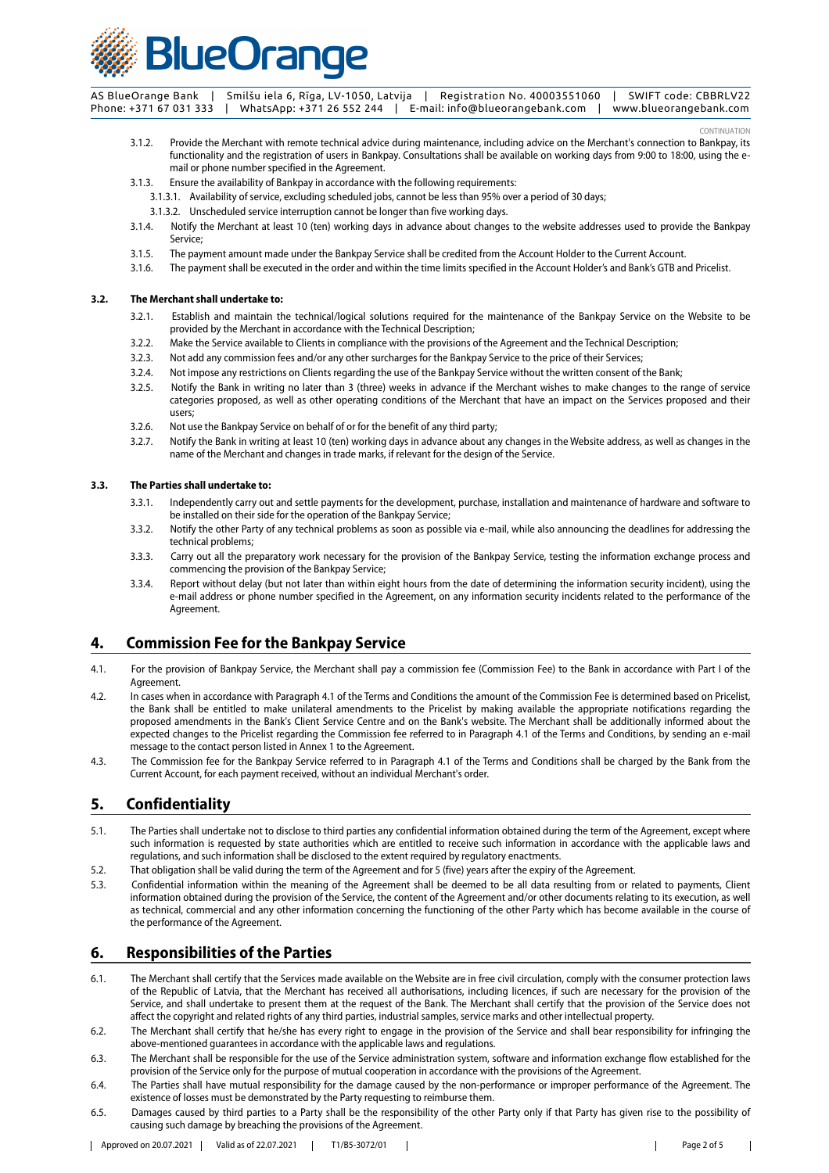

CONTINUATION

- 3.1.2. Provide the Merchant with remote technical advice during maintenance, including advice on the Merchant's connection to Bankpay, its functionality and the registration of users in Bankpay. Consultations shall be available on working days from 9:00 to 18:00, using the email or phone number specified in the Agreement.
- 3.1.3. Ensure the availability of Bankpay in accordance with the following requirements:
	- 3.1.3.1. Availability of service, excluding scheduled jobs, cannot be less than 95% over a period of 30 days;
	- 3.1.3.2. Unscheduled service interruption cannot be longer than five working days.
- 3.1.4. Notify the Merchant at least 10 (ten) working days in advance about changes to the website addresses used to provide the Bankpay Service;
- 3.1.5. The payment amount made under the Bankpay Service shall be credited from the Account Holder to the Current Account.
- 3.1.6. The payment shall be executed in the order and within the time limits specified in the Account Holder's and Bank's GTB and Pricelist.

#### **3.2. The Merchant shall undertake to:**

- 3.2.1. Establish and maintain the technical/logical solutions required for the maintenance of the Bankpay Service on the Website to be provided by the Merchant in accordance with the Technical Description;
- 3.2.2. Make the Service available to Clients in compliance with the provisions of the Agreement and the Technical Description;
- 3.2.3. Not add any commission fees and/or any other surcharges for the Bankpay Service to the price of their Services;
- 3.2.4. Not impose any restrictions on Clients regarding the use of the Bankpay Service without the written consent of the Bank;
- 3.2.5. Notify the Bank in writing no later than 3 (three) weeks in advance if the Merchant wishes to make changes to the range of service categories proposed, as well as other operating conditions of the Merchant that have an impact on the Services proposed and their users;
- 3.2.6. Not use the Bankpay Service on behalf of or for the benefit of any third party;
- 3.2.7. Notify the Bank in writing at least 10 (ten) working days in advance about any changes in the Website address, as well as changes in the name of the Merchant and changes in trade marks, if relevant for the design of the Service.

#### **3.3. The Parties shall undertake to:**

- 3.3.1. Independently carry out and settle payments for the development, purchase, installation and maintenance of hardware and software to be installed on their side for the operation of the Bankpay Service;
- 3.3.2. Notify the other Party of any technical problems as soon as possible via e-mail, while also announcing the deadlines for addressing the technical problems;
- 3.3.3. Carry out all the preparatory work necessary for the provision of the Bankpay Service, testing the information exchange process and commencing the provision of the Bankpay Service;
- 3.3.4. Report without delay (but not later than within eight hours from the date of determining the information security incident), using the e-mail address or phone number specified in the Agreement, on any information security incidents related to the performance of the Agreement.

# **4. Commission Fee for the Bankpay Service**

- 4.1. For the provision of Bankpay Service, the Merchant shall pay a commission fee (Commission Fee) to the Bank in accordance with Part I of the Agreement.
- 4.2. In cases when in accordance with Paragraph 4.1 of the Terms and Conditions the amount of the Commission Fee is determined based on Pricelist, the Bank shall be entitled to make unilateral amendments to the Pricelist by making available the appropriate notifications regarding the proposed amendments in the Bank's Client Service Centre and on the Bank's website. The Merchant shall be additionally informed about the expected changes to the Pricelist regarding the Commission fee referred to in Paragraph 4.1 of the Terms and Conditions, by sending an e-mail message to the contact person listed in Annex 1 to the Agreement.
- 4.3. The Commission fee for the Bankpay Service referred to in Paragraph 4.1 of the Terms and Conditions shall be charged by the Bank from the Current Account, for each payment received, without an individual Merchant's order.

# **5. Confidentiality**

- 5.1. The Parties shall undertake not to disclose to third parties any confidential information obtained during the term of the Agreement, except where such information is requested by state authorities which are entitled to receive such information in accordance with the applicable laws and regulations, and such information shall be disclosed to the extent required by regulatory enactments.
- 5.2. That obligation shall be valid during the term of the Agreement and for 5 (five) years after the expiry of the Agreement.
- 5.3. Confidential information within the meaning of the Agreement shall be deemed to be all data resulting from or related to payments, Client information obtained during the provision of the Service, the content of the Agreement and/or other documents relating to its execution, as well as technical, commercial and any other information concerning the functioning of the other Party which has become available in the course of the performance of the Agreement.

# **6. Responsibilities of the Parties**

- 6.1. The Merchant shall certify that the Services made available on the Website are in free civil circulation, comply with the consumer protection laws of the Republic of Latvia, that the Merchant has received all authorisations, including licences, if such are necessary for the provision of the Service, and shall undertake to present them at the request of the Bank. The Merchant shall certify that the provision of the Service does not affect the copyright and related rights of any third parties, industrial samples, service marks and other intellectual property.
- 6.2. The Merchant shall certify that he/she has every right to engage in the provision of the Service and shall bear responsibility for infringing the above-mentioned guarantees in accordance with the applicable laws and regulations.
- 6.3. The Merchant shall be responsible for the use of the Service administration system, software and information exchange flow established for the provision of the Service only for the purpose of mutual cooperation in accordance with the provisions of the Agreement.
- 6.4. The Parties shall have mutual responsibility for the damage caused by the non-performance or improper performance of the Agreement. The existence of losses must be demonstrated by the Party requesting to reimburse them.
- 6.5. Damages caused by third parties to a Party shall be the responsibility of the other Party only if that Party has given rise to the possibility of causing such damage by breaching the provisions of the Agreement.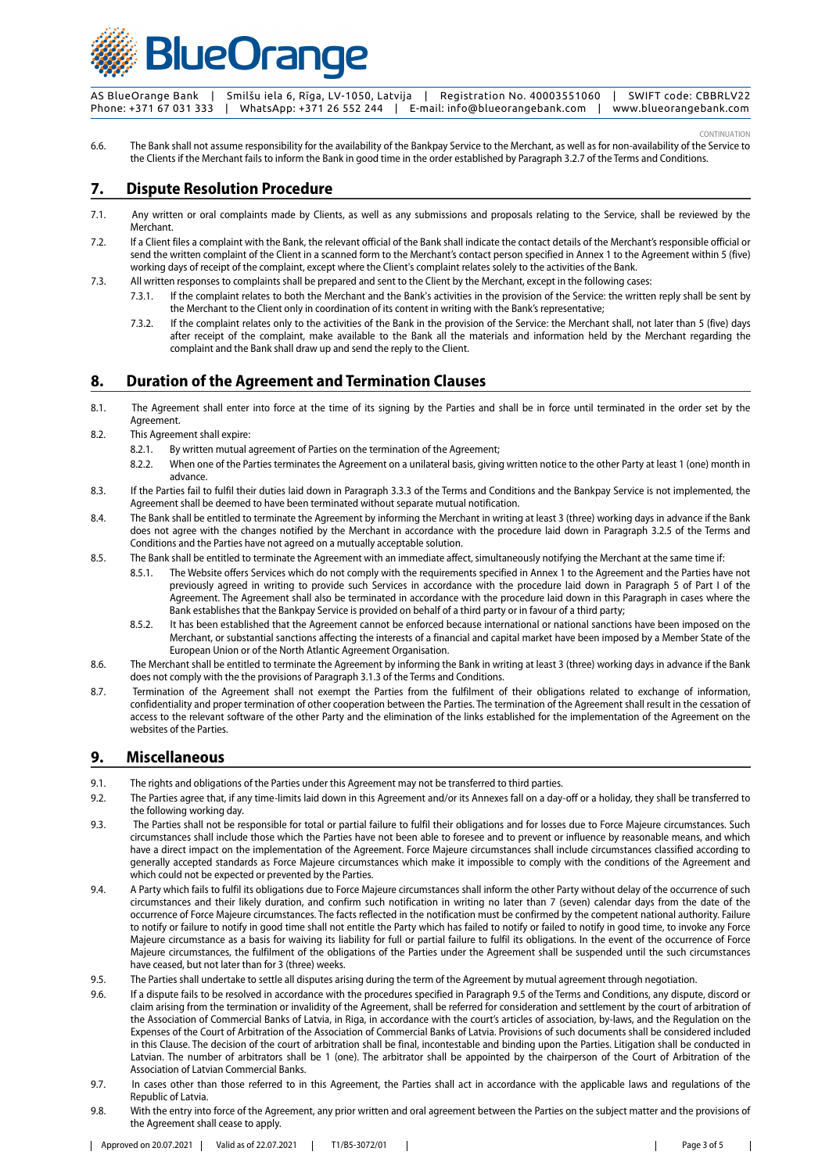

CONTINUATION

6.6. The Bank shall not assume responsibility for the availability of the Bankpay Service to the Merchant, as well as for non-availability of the Service to the Clients if the Merchant fails to inform the Bank in good time in the order established by Paragraph 3.2.7 of the Terms and Conditions.

# **7. Dispute Resolution Procedure**

- 7.1. Any written or oral complaints made by Clients, as well as any submissions and proposals relating to the Service, shall be reviewed by the Merchant.
- 7.2. If a Client files a complaint with the Bank, the relevant official of the Bank shall indicate the contact details of the Merchant's responsible official or send the written complaint of the Client in a scanned form to the Merchant's contact person specified in Annex 1 to the Agreement within 5 (five) working days of receipt of the complaint, except where the Client's complaint relates solely to the activities of the Bank.
- 7.3. All written responses to complaints shall be prepared and sent to the Client by the Merchant, except in the following cases:
	- 7.3.1. If the complaint relates to both the Merchant and the Bank's activities in the provision of the Service: the written reply shall be sent by the Merchant to the Client only in coordination of its content in writing with the Bank's representative;
	- 7.3.2. If the complaint relates only to the activities of the Bank in the provision of the Service: the Merchant shall, not later than 5 (five) days after receipt of the complaint, make available to the Bank all the materials and information held by the Merchant regarding the complaint and the Bank shall draw up and send the reply to the Client.

# **8. Duration of the Agreement and Termination Clauses**

- 8.1. The Agreement shall enter into force at the time of its signing by the Parties and shall be in force until terminated in the order set by the Agreement.
- 8.2. This Agreement shall expire:
	- 8.2.1. By written mutual agreement of Parties on the termination of the Agreement;
	- 8.2.2. When one of the Parties terminates the Agreement on a unilateral basis, giving written notice to the other Party at least 1 (one) month in advance.
- 8.3. If the Parties fail to fulfil their duties laid down in Paragraph 3.3.3 of the Terms and Conditions and the Bankpay Service is not implemented, the Agreement shall be deemed to have been terminated without separate mutual notification.
- 8.4. The Bank shall be entitled to terminate the Agreement by informing the Merchant in writing at least 3 (three) working days in advance if the Bank does not agree with the changes notified by the Merchant in accordance with the procedure laid down in Paragraph 3.2.5 of the Terms and Conditions and the Parties have not agreed on a mutually acceptable solution.
- 8.5. The Bank shall be entitled to terminate the Agreement with an immediate affect, simultaneously notifying the Merchant at the same time if:
	- 8.5.1. The Website offers Services which do not comply with the requirements specified in Annex 1 to the Agreement and the Parties have not previously agreed in writing to provide such Services in accordance with the procedure laid down in Paragraph 5 of Part I of the Agreement. The Agreement shall also be terminated in accordance with the procedure laid down in this Paragraph in cases where the Bank establishes that the Bankpay Service is provided on behalf of a third party or in favour of a third party;
	- 8.5.2. It has been established that the Agreement cannot be enforced because international or national sanctions have been imposed on the Merchant, or substantial sanctions affecting the interests of a financial and capital market have been imposed by a Member State of the European Union or of the North Atlantic Agreement Organisation.
- 8.6. The Merchant shall be entitled to terminate the Agreement by informing the Bank in writing at least 3 (three) working days in advance if the Bank does not comply with the the provisions of Paragraph 3.1.3 of the Terms and Conditions.
- 8.7. Termination of the Agreement shall not exempt the Parties from the fulfilment of their obligations related to exchange of information, confidentiality and proper termination of other cooperation between the Parties. The termination of the Agreement shall result in the cessation of access to the relevant software of the other Party and the elimination of the links established for the implementation of the Agreement on the websites of the Parties.

### **9. Miscellaneous**

- 9.1. The rights and obligations of the Parties under this Agreement may not be transferred to third parties.
- 9.2. The Parties agree that, if any time-limits laid down in this Agreement and/or its Annexes fall on a day-off or a holiday, they shall be transferred to the following working day.
- 9.3. The Parties shall not be responsible for total or partial failure to fulfil their obligations and for losses due to Force Majeure circumstances. Such circumstances shall include those which the Parties have not been able to foresee and to prevent or influence by reasonable means, and which have a direct impact on the implementation of the Agreement. Force Majeure circumstances shall include circumstances classified according to generally accepted standards as Force Majeure circumstances which make it impossible to comply with the conditions of the Agreement and which could not be expected or prevented by the Parties.
- 9.4. A Party which fails to fulfil its obligations due to Force Majeure circumstances shall inform the other Party without delay of the occurrence of such circumstances and their likely duration, and confirm such notification in writing no later than 7 (seven) calendar days from the date of the occurrence of Force Majeure circumstances. The facts reflected in the notification must be confirmed by the competent national authority. Failure to notify or failure to notify in good time shall not entitle the Party which has failed to notify or failed to notify in good time, to invoke any Force Majeure circumstance as a basis for waiving its liability for full or partial failure to fulfil its obligations. In the event of the occurrence of Force Majeure circumstances, the fulfilment of the obligations of the Parties under the Agreement shall be suspended until the such circumstances have ceased, but not later than for 3 (three) weeks.
- 9.5. The Parties shall undertake to settle all disputes arising during the term of the Agreement by mutual agreement through negotiation.
- 9.6. If a dispute fails to be resolved in accordance with the procedures specified in Paragraph 9.5 of the Terms and Conditions, any dispute, discord or claim arising from the termination or invalidity of the Agreement, shall be referred for consideration and settlement by the court of arbitration of the Association of Commercial Banks of Latvia, in Riga, in accordance with the court's articles of association, by-laws, and the Regulation on the Expenses of the Court of Arbitration of the Association of Commercial Banks of Latvia. Provisions of such documents shall be considered included in this Clause. The decision of the court of arbitration shall be final, incontestable and binding upon the Parties. Litigation shall be conducted in Latvian. The number of arbitrators shall be 1 (one). The arbitrator shall be appointed by the chairperson of the Court of Arbitration of the Association of Latvian Commercial Banks.
- 9.7. In cases other than those referred to in this Agreement, the Parties shall act in accordance with the applicable laws and regulations of the Republic of Latvia.
- 9.8. With the entry into force of the Agreement, any prior written and oral agreement between the Parties on the subject matter and the provisions of the Agreement shall cease to apply.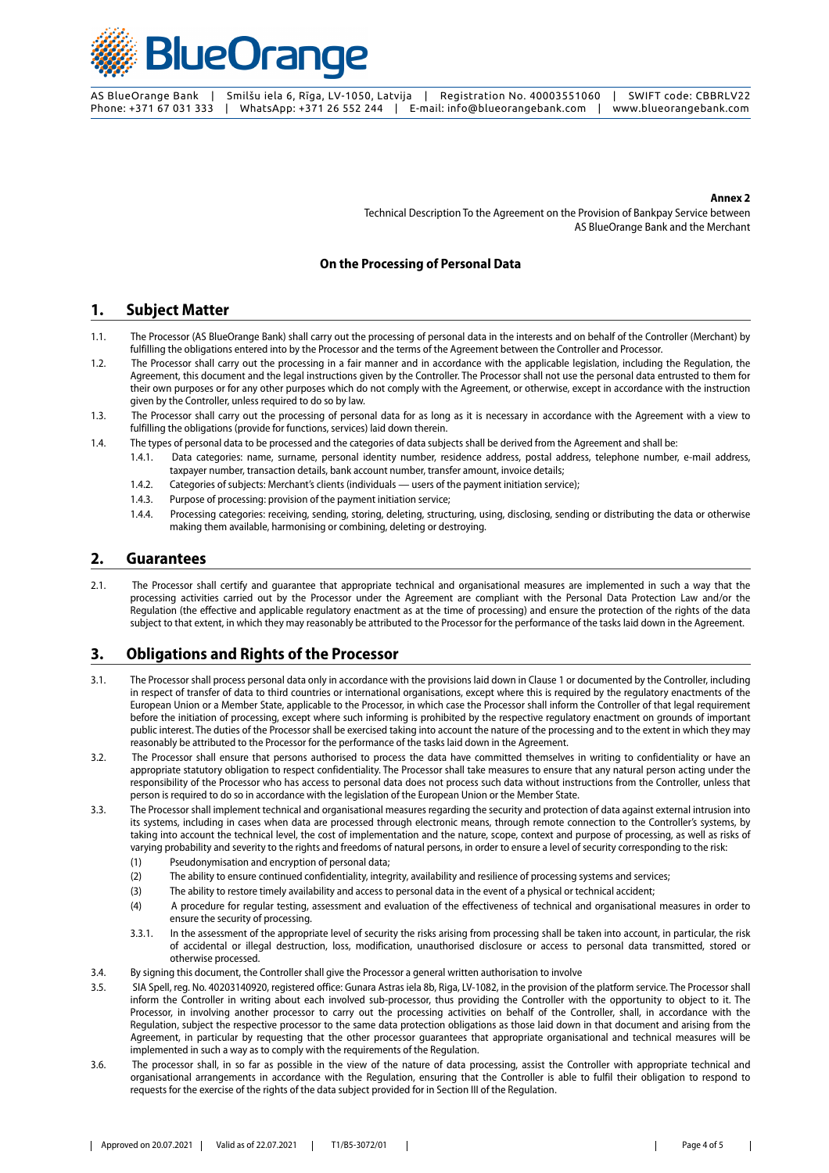

#### **Annex 2**

Technical Description To the Agreement on the Provision of Bankpay Service between AS BlueOrange Bank and the Merchant

#### **On the Processing of Personal Data**

#### **1. Subject Matter**

- 1.1. The Processor (AS BlueOrange Bank) shall carry out the processing of personal data in the interests and on behalf of the Controller (Merchant) by fulfilling the obligations entered into by the Processor and the terms of the Agreement between the Controller and Processor.
- 1.2. The Processor shall carry out the processing in a fair manner and in accordance with the applicable legislation, including the Regulation, the Agreement, this document and the legal instructions given by the Controller. The Processor shall not use the personal data entrusted to them for their own purposes or for any other purposes which do not comply with the Agreement, or otherwise, except in accordance with the instruction given by the Controller, unless required to do so by law.
- 1.3. The Processor shall carry out the processing of personal data for as long as it is necessary in accordance with the Agreement with a view to fulfilling the obligations (provide for functions, services) laid down therein.
- 1.4. The types of personal data to be processed and the categories of data subjects shall be derived from the Agreement and shall be:
	- 1.4.1. Data categories: name, surname, personal identity number, residence address, postal address, telephone number, e-mail address, taxpayer number, transaction details, bank account number, transfer amount, invoice details;
	- 1.4.2. Categories of subjects: Merchant's clients (individuals users of the payment initiation service);
	- 1.4.3. Purpose of processing: provision of the payment initiation service;
	- 1.4.4. Processing categories: receiving, sending, storing, deleting, structuring, using, disclosing, sending or distributing the data or otherwise making them available, harmonising or combining, deleting or destroying.

#### **2. Guarantees**

2.1. The Processor shall certify and guarantee that appropriate technical and organisational measures are implemented in such a way that the processing activities carried out by the Processor under the Agreement are compliant with the Personal Data Protection Law and/or the Regulation (the effective and applicable regulatory enactment as at the time of processing) and ensure the protection of the rights of the data subject to that extent, in which they may reasonably be attributed to the Processor for the performance of the tasks laid down in the Agreement.

# **3. Obligations and Rights of the Processor**

- 3.1. The Processor shall process personal data only in accordance with the provisions laid down in Clause 1 or documented by the Controller, including in respect of transfer of data to third countries or international organisations, except where this is required by the regulatory enactments of the European Union or a Member State, applicable to the Processor, in which case the Processor shall inform the Controller of that legal requirement before the initiation of processing, except where such informing is prohibited by the respective regulatory enactment on grounds of important public interest. The duties of the Processor shall be exercised taking into account the nature of the processing and to the extent in which they may reasonably be attributed to the Processor for the performance of the tasks laid down in the Agreement.
- 3.2. The Processor shall ensure that persons authorised to process the data have committed themselves in writing to confidentiality or have an appropriate statutory obligation to respect confidentiality. The Processor shall take measures to ensure that any natural person acting under the responsibility of the Processor who has access to personal data does not process such data without instructions from the Controller, unless that person is required to do so in accordance with the legislation of the European Union or the Member State.
- 3.3. The Processor shall implement technical and organisational measures regarding the security and protection of data against external intrusion into its systems, including in cases when data are processed through electronic means, through remote connection to the Controller's systems, by taking into account the technical level, the cost of implementation and the nature, scope, context and purpose of processing, as well as risks of varying probability and severity to the rights and freedoms of natural persons, in order to ensure a level of security corresponding to the risk:
	- (1) Pseudonymisation and encryption of personal data;
	- (2) The ability to ensure continued confidentiality, integrity, availability and resilience of processing systems and services;
	- (3) The ability to restore timely availability and access to personal data in the event of a physical or technical accident;
	- (4) A procedure for regular testing, assessment and evaluation of the effectiveness of technical and organisational measures in order to ensure the security of processing.
	- 3.3.1. In the assessment of the appropriate level of security the risks arising from processing shall be taken into account, in particular, the risk of accidental or illegal destruction, loss, modification, unauthorised disclosure or access to personal data transmitted, stored or otherwise processed.
- 3.4. By signing this document, the Controller shall give the Processor a general written authorisation to involve
- 3.5. SIA Spell, reg. No. 40203140920, registered office: Gunara Astras iela 8b, Riga, LV-1082, in the provision of the platform service. The Processor shall inform the Controller in writing about each involved sub-processor, thus providing the Controller with the opportunity to object to it. The Processor, in involving another processor to carry out the processing activities on behalf of the Controller, shall, in accordance with the Regulation, subject the respective processor to the same data protection obligations as those laid down in that document and arising from the Agreement, in particular by requesting that the other processor guarantees that appropriate organisational and technical measures will be implemented in such a way as to comply with the requirements of the Regulation.
- 3.6. The processor shall, in so far as possible in the view of the nature of data processing, assist the Controller with appropriate technical and organisational arrangements in accordance with the Regulation, ensuring that the Controller is able to fulfil their obligation to respond to requests for the exercise of the rights of the data subject provided for in Section III of the Regulation.